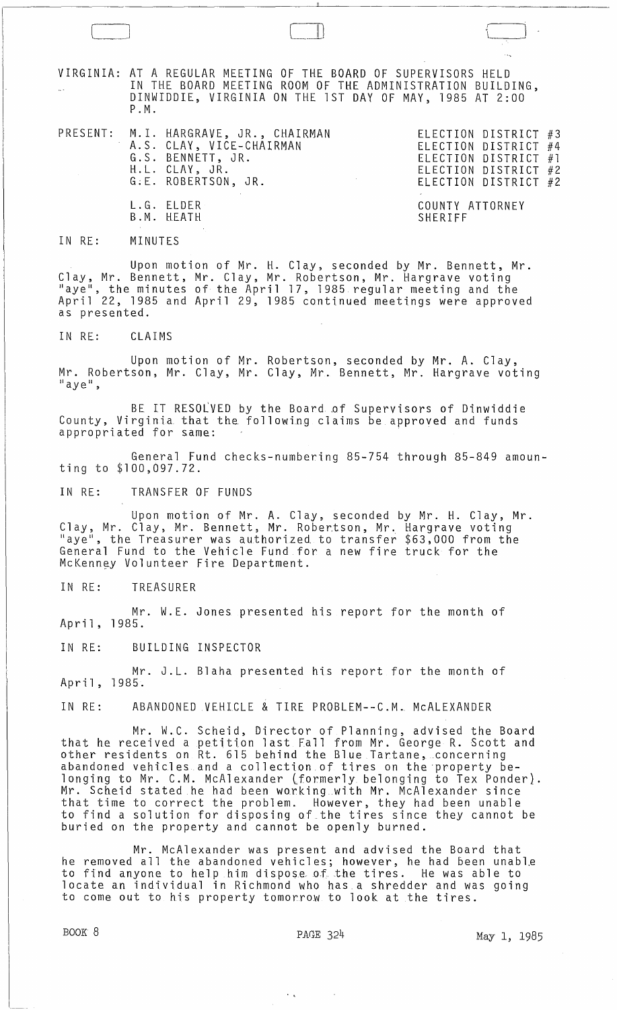VIRGINIA: AT A REGULAR MEETING OF THE BOARD OF SUPERVISORS HELD IN THE BOARD MEETING ROOM OF THE ADMINISTRATION BUILDING, DINWIDDIE, VIRGINIA ON THE 1ST DAY OF MAY, 1985 AT 2:00 P . M .

PRESENT: M.1. HARGRAVE, JR., CHAIRMAN A.S. CLAY, VICE-CHAIRMAN G.S. BENNETT, JR. H.L. CLAY, JR. G;E. ROBERTSON, JR. L.G. ELDER B.M. HEATH

ELECTION DISTRICT #3 ELECTION DISTRICT #4 ELECTION DISTRICT #1 ELECTION DISTRICT #2 ELECTION DISTRICT #2

COUNTY ATTORNEY **SHERIFF** 

IN RE: MINUTES

 $\overline{\phantom{0}}$ 

Upon motion of Mr. H. Clay, seconded by Mr. Bennett, Mr. Clay, Mr. Bennett, Mr. Clay, Mr. Robertson, Mr. Hargrave voting<br>"aye", the minutes of the April 17, 1985 regular meeting and the April 22, 1985 and April 29, 1985 continued meetings were approved as presented.

IN RE: CLAIMS

Upon motion of Mr. Robertson, seconded by Mr. A. Clay, Mr. Robertson, Mr. Clay, Mr. Clay, Mr. Bennett, Mr. Hargrave voting<br>"aye",

BE IT RESOLVED by the Board of Supervisors of Dinwiddie County, Virginia that the following claims be approved and funds appropriated for same: .

General Fund checks-numbering 85-754 through 85-849 amounting to \$100,097.72.

IN RE: TRANSFER OF FUNDS

Upon motion of Mr. A. Clay, seconded by Mr. H. Clay, Mr. Clay, Mr. Clay, Mr. Bennett, Mr. Robertson, Mr. Hargrave voting have", the Treasurer was authorized to transfer \$63,000 from the General Fund to the Vehicle Fund for a new fire truck for the McKenney Volunteer Fire Department.

IN RE: TREASURER

Mr. W.E. Jones presented his report for the month of April, 1985.

IN RE: BUILDING INSPECTOR

Mr. J.L. Blaha presented his report for the month of April,1985.

IN RE: ABANDONED VEHICLE & TIRE PROBLEM--C.M. McALEXANDER

Mr. W.C. Scheid, Director of Planning, advised the Board that he received a petition last Fall from Mr. George R. Scott and other residents on Rt. 615 behind the Blue Tartane, concerning abandoned vehicles and a collection.of tires on the·property belonging to Mr. C.M. McAlexander (formerly belonging to Tex Ponder). Mr. Scheid stated he had been working with Mr. McAlexander since that time to correct the problem. However, they had been unable to find a solution for disposing of\_the tires since they cannot be buried on the property and cannot be openly burned.

Mr. McAlexander was present and advised the Board that he removed all the abandoned vehicles; however, he had been unable to find anyone to help him dispose of the tires. He was able to locate an individual in Richmond who has a shredder and was going to come out to his property tomorrow to look at the tires.

. ,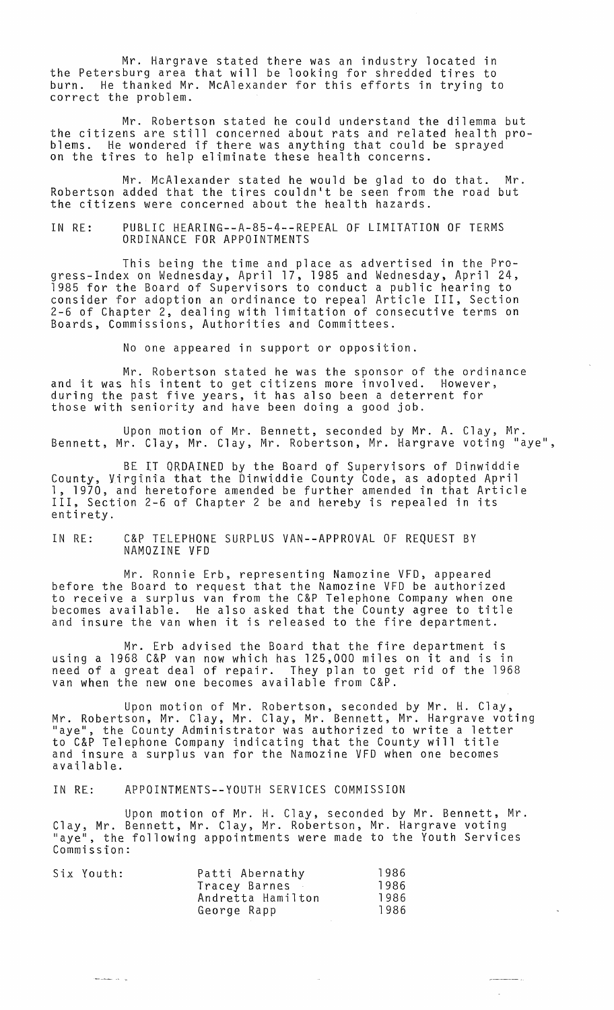Mr. Hargrave stated there was an industry located in the Petersburg area that will be looking for shredded tires to burn. He thanked Mr. McAlexander for this efforts in trying to correct the problem.

Mr. Robertson stated he could understand the dilemma but the citizens are still concerned about rats and related health pro-<br>blems. He wondered if there was anything that could be sprayed on the tires to help eliminate these health concerns.

Mr. McAlexander stated he would be glad to do that. Mr. Robertson added that the tires couldn't be seen from the road but the citizens were concerned about the health hazards.

IN RE: PUBLIC HEARING--A-85-4--REPEAL OF LIMITATION OF TERMS ORDINANCE FOR APPOINTMENTS

This being the time and place as advertised in the Progress-Index on Wednesday, April 17, 1985 and Wednesday, April 24, 1985 for the Board of Supervisors to conduct a public hearing to consider for adoption an ordinance to repeal Article III, Section 2-6 of Chapter 2, dealing with limitation of consecutive terms on Boards, Commissions, Authorities and Committees.

No one appeared in support or opposition.

Mr. Robertson stated he was the sponsor of the ordinance and it was his intent to get citizens more involved. However, during the past five years, it has also been a deterrent for those with seniority and have been doing a good job.

Upon motion of Mr. Bennett, seconded by Mr. A. Clay, Mr. Bennett, Mr. Clay, Mr. Clay, Mr. Robertson, Mr. Hargrave voting "aye",

BE IT ORDAINED by the Board of Supervisors of Dinwiddie County, Virginia that the Dinwiddie County Code, as adopted April 1, 1970, and heretofore amended be further amended in that Article III, Section 2-6 of Chapter 2 be and hereby is repealed in its entirety.

## IN RE: C&P TELEPHONE SURPLUS VAN--APPROVAL OF REQUEST BY NAMOZINE VFD

Mr. Ronnie Erb, representing Namozine VFD, appeared before the Board to request that the Namozine VFD be authorized to receive a surplus van from the C&P Telephone Company when one becomes available. He also asked that the County agree to title and insure the van when it is released to the fire department.

Mr. Erb advised the Board that the fire department is using a 1968 C&P van now which has 125,000 miles on it and is in need of a great deal of repair. They plan to get rid of the 1968 van when the new one becomes available from C&P.

Upon motion of Mr. Robertson, seconded by Mr. H. Clay, Mr. Robertson, Mr. Clay, Mr. Clay, Mr. Bennett, Mr. Hargrave voting "aye", the County Administrator was authorized to write a letter to C&P Telephone Company indicating that the County will title and insure a surplus van for the Namozine VFD when one becomes available.

IN RE: APPOINTMENTS--YOUTH SERVICES COMMISSION

Upon motion of Mr. H. Clay, seconded by Mr. Bennett, Mr. Clay, Mr. Bennett, Mr. Clay, Mr. Robertson, Mr. Hargrave voting "aye", the following appointments were made to the Youth Services Commission:

|  | Six Youth: | Patti Abernathy   | 1986 |
|--|------------|-------------------|------|
|  |            | Tracey Barnes     | 1986 |
|  |            | Andretta Hamilton | 1986 |
|  |            | George Rapp       | 1986 |

والمنتصب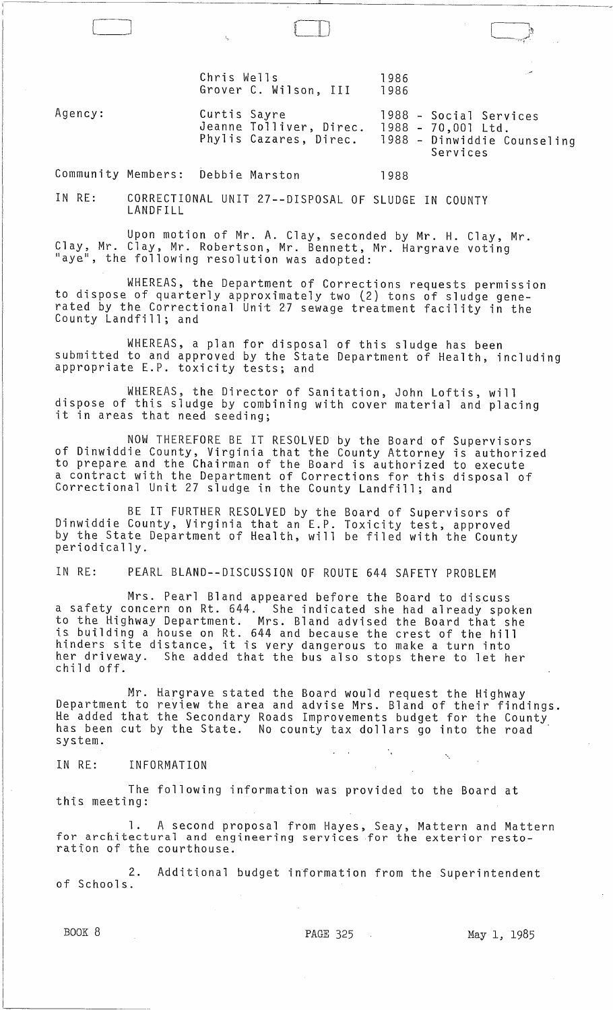Chris Wells 1986<br>Grover C. Wilson, III 1986 Grover C. Wilson, III

Agency: Curtis Sayre Jeanne Tolliver, Direc. Phylis Cazares, Direc. 1988 - Social Services 1988 - 70,001 Ltd. 1988 - Dinwiddie Counseling Services

 $\Box$ 

Community Members: Debbie Marston 1988

[ ]

IN RE: CORRECTIONAL UNIT 27--DISPOSAL OF SLUDGE IN COUNTY LANDFILL

Upon motion of Mr. A. Clay, seconded by Mr. H. Clay, Mr. Clay, Mr. Clay, Mr. Robertson, Mr. Bennett, Mr. Hargrave voting "aye", the following resolution was adopted:

WHEREAS, the Department of Corrections requests permission to dispose of quarterly approximately two (2) tons of sludge generated by the Correctional Unit *l7* sewage treatment facility in the County Landfill; and

WHEREAS, a plan for disposal of this sludge has been submitted to and approved by the State Department of Health, including<br>appropriate E.P. toxicity tests; and

WHEREAS, the Director of Sanitation, John Loftis, will dispose of this sludge by combining with cover material and placing<br>it in areas that need seeding;

NOW THEREFORE BE IT RESOLVED by the Board of Supervisors of Dinwiddie County, Virginia that the County Attorney is authorized to prepare and the Chairman of the Board is authorized to execute a contract with the Department of Corrections for this disposal of Correctional Unit 27 sludge in the County Landfill; and

BE IT FURTHER RESOLVED by the Board of Supervisors of Dinwiddie County, Virginia that an E.P. Toxicity test, approved by the State Department of Health, will be filed with the County periodically.

IN RE: PEARL BLAND--DISCUSSION OF ROUTE 644 SAFETY PROBLEM

Mrs. Pearl Bland appeared before the Board to discuss a safety concern on Rt. 644. She indicated she had already spoken to the Highway Department. Mrs. Bland advised the Board that she is building a house on Rt. 644 and because the crest of the hill hinders site distance, it is very dangerous to make a turn into her driveway. She added that the bus also stops there to let her child off.

Mr. Hargrave stated the Board would request the Highway Department to review the area and advise Mrs. Bland of their findings. He added that the Secondary Roads Improvements budget for the County has been cut by the State. No county tax dollars go into the road system.

IN RE: INFORMATION

The following information was provided to the Board at this meeting:

1. A second proposal from Hayes, Seay, Mattern and Mattern for architectural and engineering services for the exterior restoration of the courthouse.

2. Additional budget information from the Superintendent<br>of Schools.